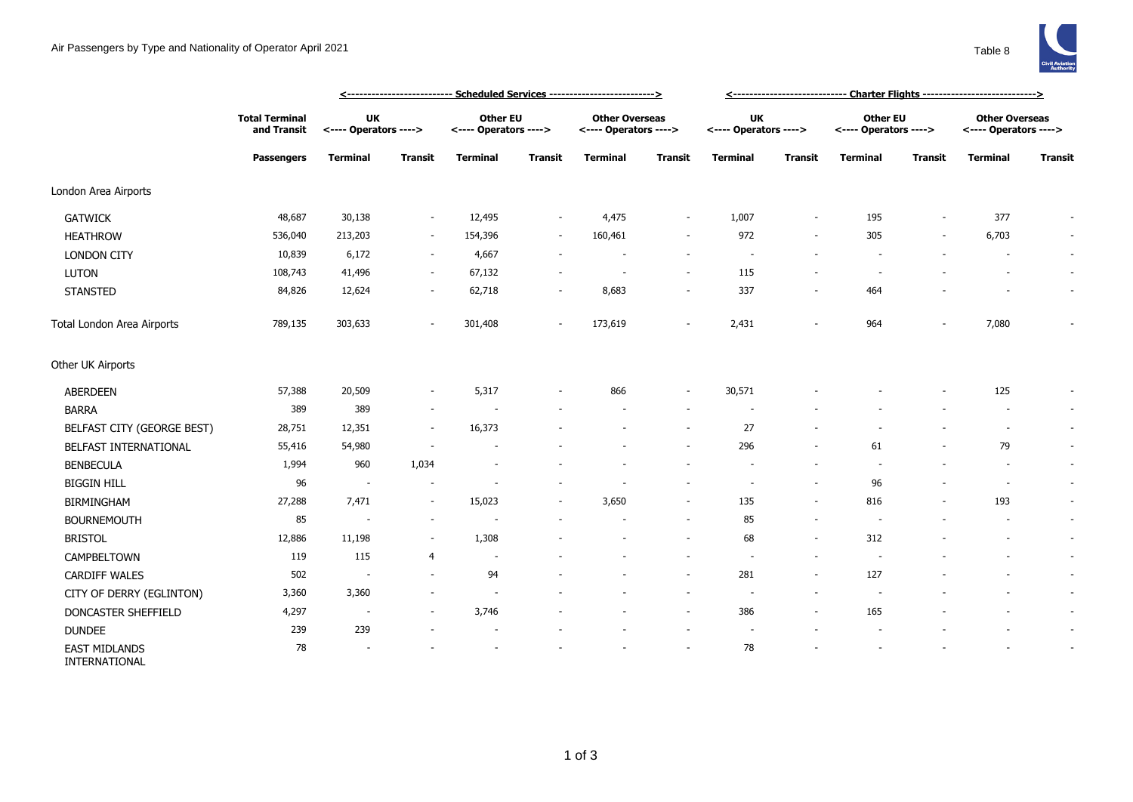

|                                       |                                                           |                                    |                          | <--------------------------- Scheduled Services -------------------------> | <------------------------------ Charter Flights ----------------------------> |                                                |                          |                                    |                          |                                          |                |                                                |                          |
|---------------------------------------|-----------------------------------------------------------|------------------------------------|--------------------------|----------------------------------------------------------------------------|-------------------------------------------------------------------------------|------------------------------------------------|--------------------------|------------------------------------|--------------------------|------------------------------------------|----------------|------------------------------------------------|--------------------------|
|                                       | <b>Total Terminal</b><br>and Transit<br><b>Passengers</b> | <b>UK</b><br><---- Operators ----> |                          | <b>Other EU</b><br><---- Operators ---->                                   |                                                                               | <b>Other Overseas</b><br><---- Operators ----> |                          | <b>UK</b><br><---- Operators ----> |                          | <b>Other EU</b><br><---- Operators ----> |                | <b>Other Overseas</b><br><---- Operators ----> |                          |
|                                       |                                                           | <b>Terminal</b>                    | <b>Transit</b>           | <b>Terminal</b>                                                            | <b>Transit</b>                                                                | <b>Terminal</b>                                | <b>Transit</b>           | <b>Terminal</b>                    | <b>Transit</b>           | <b>Terminal</b>                          | <b>Transit</b> | <b>Terminal</b>                                | <b>Transit</b>           |
| London Area Airports                  |                                                           |                                    |                          |                                                                            |                                                                               |                                                |                          |                                    |                          |                                          |                |                                                |                          |
| <b>GATWICK</b>                        | 48,687                                                    | 30,138                             | $\sim$                   | 12,495                                                                     | $\overline{\phantom{a}}$                                                      | 4,475                                          | $\overline{\phantom{a}}$ | 1,007                              | $\sim$                   | 195                                      |                | 377                                            | $\sim$                   |
| <b>HEATHROW</b>                       | 536,040                                                   | 213,203                            | $\sim$                   | 154,396                                                                    | $\overline{\phantom{a}}$                                                      | 160,461                                        | $\overline{\phantom{a}}$ | 972                                | $\overline{\phantom{a}}$ | 305                                      |                | 6,703                                          | $\sim$                   |
| <b>LONDON CITY</b>                    | 10,839                                                    | 6,172                              | $\sim$                   | 4,667                                                                      |                                                                               |                                                | $\sim$                   | $\overline{\phantom{a}}$           |                          |                                          |                |                                                | $\sim$                   |
| <b>LUTON</b>                          | 108,743                                                   | 41,496                             | $\overline{\phantom{a}}$ | 67,132                                                                     |                                                                               |                                                | $\overline{\phantom{a}}$ | 115                                |                          |                                          |                |                                                | $\sim$                   |
| <b>STANSTED</b>                       | 84,826                                                    | 12,624                             | $\overline{\phantom{a}}$ | 62,718                                                                     | $\overline{\phantom{a}}$                                                      | 8,683                                          | $\overline{\phantom{a}}$ | 337                                | $\overline{\phantom{a}}$ | 464                                      |                |                                                | $\sim$                   |
| Total London Area Airports            | 789,135                                                   | 303,633                            |                          | 301,408                                                                    | $\sim$                                                                        | 173,619                                        | $\overline{\phantom{a}}$ | 2,431                              |                          | 964                                      |                | 7,080                                          |                          |
| Other UK Airports                     |                                                           |                                    |                          |                                                                            |                                                                               |                                                |                          |                                    |                          |                                          |                |                                                |                          |
| ABERDEEN                              | 57,388                                                    | 20,509                             | $\sim$                   | 5,317                                                                      |                                                                               | 866                                            | $\overline{\phantom{a}}$ | 30,571                             |                          |                                          |                | 125                                            | $\overline{\phantom{a}}$ |
| <b>BARRA</b>                          | 389                                                       | 389                                | $\overline{\phantom{a}}$ |                                                                            |                                                                               |                                                | ٠                        |                                    |                          |                                          |                |                                                | $\sim$                   |
| BELFAST CITY (GEORGE BEST)            | 28,751                                                    | 12,351                             | $\overline{\phantom{a}}$ | 16,373                                                                     |                                                                               |                                                | $\overline{\phantom{a}}$ | 27                                 |                          |                                          |                | $\overline{\phantom{a}}$                       | $\sim$                   |
| BELFAST INTERNATIONAL                 | 55,416                                                    | 54,980                             |                          |                                                                            |                                                                               |                                                |                          | 296                                | ÷,                       | 61                                       |                | 79                                             | $\sim$                   |
| <b>BENBECULA</b>                      | 1,994                                                     | 960                                | 1,034                    |                                                                            |                                                                               |                                                |                          |                                    | ٠                        |                                          |                | $\overline{\phantom{a}}$                       | $\sim$                   |
| <b>BIGGIN HILL</b>                    | 96                                                        | $\overline{\phantom{a}}$           | $\overline{\phantom{a}}$ |                                                                            |                                                                               |                                                |                          |                                    | $\overline{\phantom{a}}$ | 96                                       |                | $\sim$                                         | $\sim$                   |
| BIRMINGHAM                            | 27,288                                                    | 7,471                              | $\overline{\phantom{a}}$ | 15,023                                                                     |                                                                               | 3,650                                          | $\overline{\phantom{a}}$ | 135                                | $\overline{\phantom{a}}$ | 816                                      |                | 193                                            | $\sim$                   |
| <b>BOURNEMOUTH</b>                    | 85                                                        | $\overline{\phantom{a}}$           | $\overline{\phantom{a}}$ |                                                                            |                                                                               |                                                | $\overline{\phantom{a}}$ | 85                                 | ٠                        |                                          |                |                                                | $\sim$                   |
| <b>BRISTOL</b>                        | 12,886                                                    | 11,198                             |                          | 1,308                                                                      |                                                                               |                                                | $\sim$                   | 68                                 | $\overline{\phantom{a}}$ | 312                                      |                |                                                | $\sim$                   |
| CAMPBELTOWN                           | 119                                                       | 115                                | 4                        | ÷,                                                                         |                                                                               |                                                |                          |                                    |                          |                                          |                |                                                | $\sim$                   |
| <b>CARDIFF WALES</b>                  | 502                                                       | $\sim$                             | $\sim$                   | 94                                                                         |                                                                               |                                                | $\sim$                   | 281                                | $\sim$                   | 127                                      |                |                                                | $\sim$                   |
| CITY OF DERRY (EGLINTON)              | 3,360                                                     | 3,360                              |                          |                                                                            |                                                                               |                                                |                          |                                    |                          |                                          |                |                                                | $\sim$                   |
| DONCASTER SHEFFIELD                   | 4,297                                                     | $\overline{\phantom{a}}$           |                          | 3,746                                                                      |                                                                               |                                                | $\overline{\phantom{a}}$ | 386                                | $\overline{\phantom{a}}$ | 165                                      |                |                                                | $\sim$                   |
| <b>DUNDEE</b>                         | 239                                                       | 239                                |                          | $\overline{\phantom{a}}$                                                   |                                                                               |                                                | $\overline{\phantom{a}}$ | $\sim$                             |                          |                                          |                |                                                | $\sim$                   |
| <b>EAST MIDLANDS</b><br>INTERNATIONAL | 78                                                        |                                    |                          |                                                                            |                                                                               |                                                |                          | 78                                 |                          |                                          |                |                                                |                          |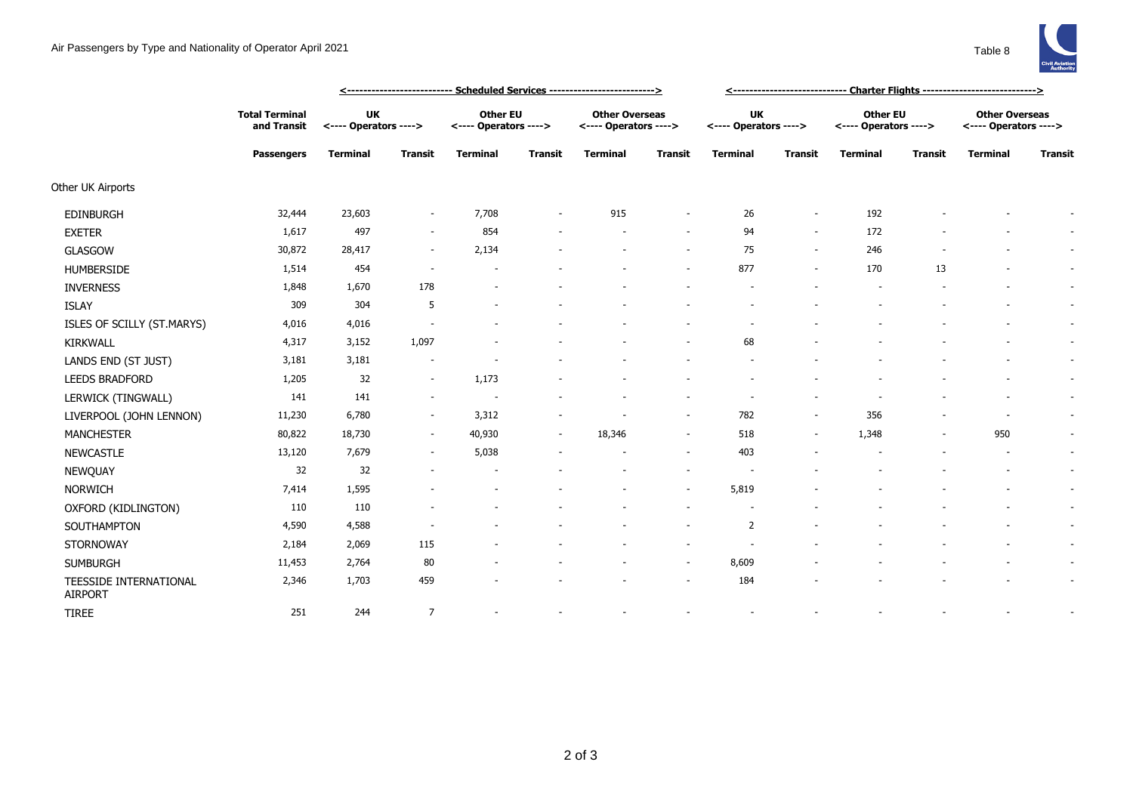

|                                          |                                                    |                                    |                          | <u> &lt;--------------------------- Scheduled Services --------------------------&gt;</u> | <u>&lt;------------------------------  Charter Flights ----------------------------&gt;</u> |                                                |                          |                                    |                          |                                          |                |                                                |                          |
|------------------------------------------|----------------------------------------------------|------------------------------------|--------------------------|-------------------------------------------------------------------------------------------|---------------------------------------------------------------------------------------------|------------------------------------------------|--------------------------|------------------------------------|--------------------------|------------------------------------------|----------------|------------------------------------------------|--------------------------|
|                                          | <b>Total Terminal</b><br>and Transit<br>Passengers | <b>UK</b><br><---- Operators ----> |                          | <b>Other EU</b><br><---- Operators ---->                                                  |                                                                                             | <b>Other Overseas</b><br><---- Operators ----> |                          | <b>UK</b><br><---- Operators ----> |                          | <b>Other EU</b><br><---- Operators ----> |                | <b>Other Overseas</b><br><---- Operators ----> |                          |
|                                          |                                                    | <b>Terminal</b>                    | <b>Transit</b>           | <b>Terminal</b>                                                                           | <b>Transit</b>                                                                              | <b>Terminal</b>                                | <b>Transit</b>           | <b>Terminal</b>                    | <b>Transit</b>           | <b>Terminal</b>                          | <b>Transit</b> | <b>Terminal</b>                                | <b>Transit</b>           |
| Other UK Airports                        |                                                    |                                    |                          |                                                                                           |                                                                                             |                                                |                          |                                    |                          |                                          |                |                                                |                          |
| <b>EDINBURGH</b>                         | 32,444                                             | 23,603                             | $\overline{\phantom{a}}$ | 7,708                                                                                     |                                                                                             | 915                                            |                          | 26                                 | $\overline{\phantom{a}}$ | 192                                      |                |                                                | $\sim$                   |
| <b>EXETER</b>                            | 1,617                                              | 497                                | $\sim$                   | 854                                                                                       |                                                                                             |                                                |                          | 94                                 | $\overline{\phantom{a}}$ | 172                                      |                |                                                | $\overline{\phantom{a}}$ |
| <b>GLASGOW</b>                           | 30,872                                             | 28,417                             | $\overline{\phantom{a}}$ | 2,134                                                                                     |                                                                                             |                                                | $\sim$                   | 75                                 | $\sim$                   | 246                                      |                |                                                | $\sim$                   |
| <b>HUMBERSIDE</b>                        | 1,514                                              | 454                                | $\sim$                   |                                                                                           |                                                                                             |                                                | $\overline{\phantom{a}}$ | 877                                | $\overline{\phantom{a}}$ | 170                                      | 13             |                                                | $\sim$                   |
| <b>INVERNESS</b>                         | 1,848                                              | 1,670                              | 178                      |                                                                                           |                                                                                             |                                                |                          |                                    |                          |                                          |                |                                                | $\sim$                   |
| <b>ISLAY</b>                             | 309                                                | 304                                | 5                        |                                                                                           |                                                                                             |                                                |                          |                                    |                          |                                          |                |                                                | $\sim$                   |
| ISLES OF SCILLY (ST.MARYS)               | 4,016                                              | 4,016                              |                          |                                                                                           |                                                                                             |                                                |                          |                                    |                          |                                          |                |                                                | $\sim$                   |
| <b>KIRKWALL</b>                          | 4,317                                              | 3,152                              | 1,097                    |                                                                                           |                                                                                             |                                                |                          | 68                                 |                          |                                          |                |                                                | $\sim$                   |
| LANDS END (ST JUST)                      | 3,181                                              | 3,181                              |                          |                                                                                           |                                                                                             |                                                |                          |                                    |                          |                                          |                |                                                | $\sim$                   |
| <b>LEEDS BRADFORD</b>                    | 1,205                                              | 32                                 | $\sim$                   | 1,173                                                                                     |                                                                                             |                                                |                          |                                    |                          |                                          |                |                                                | $\sim$                   |
| LERWICK (TINGWALL)                       | 141                                                | 141                                | $\sim$                   |                                                                                           |                                                                                             |                                                |                          |                                    |                          |                                          |                |                                                | $\sim$                   |
| LIVERPOOL (JOHN LENNON)                  | 11,230                                             | 6,780                              | $\sim$                   | 3,312                                                                                     |                                                                                             |                                                | $\sim$                   | 782                                |                          | 356                                      |                |                                                |                          |
| <b>MANCHESTER</b>                        | 80,822                                             | 18,730                             | $\sim$                   | 40,930                                                                                    | $\sim$                                                                                      | 18,346                                         | $\sim$                   | 518                                | $\overline{\phantom{a}}$ | 1,348                                    | ٠              | 950                                            | $\sim$                   |
| <b>NEWCASTLE</b>                         | 13,120                                             | 7,679                              | $\sim$                   | 5,038                                                                                     |                                                                                             |                                                |                          | 403                                |                          |                                          |                |                                                | $\sim$                   |
| NEWQUAY                                  | 32                                                 | 32                                 |                          |                                                                                           |                                                                                             |                                                | $\overline{\phantom{a}}$ |                                    |                          |                                          |                |                                                | $\sim$                   |
| <b>NORWICH</b>                           | 7,414                                              | 1,595                              |                          |                                                                                           |                                                                                             |                                                | $\sim$                   | 5,819                              |                          |                                          |                |                                                | $\sim$                   |
| OXFORD (KIDLINGTON)                      | 110                                                | 110                                |                          |                                                                                           |                                                                                             |                                                | $\sim$                   |                                    |                          |                                          |                |                                                | $\sim$                   |
| SOUTHAMPTON                              | 4,590                                              | 4,588                              |                          |                                                                                           |                                                                                             |                                                | $\sim$                   | $\overline{2}$                     |                          |                                          |                |                                                | $\sim$                   |
| <b>STORNOWAY</b>                         | 2,184                                              | 2,069                              | 115                      |                                                                                           |                                                                                             |                                                |                          |                                    |                          |                                          |                |                                                | $\sim$                   |
| <b>SUMBURGH</b>                          | 11,453                                             | 2,764                              | 80                       |                                                                                           |                                                                                             |                                                | $\sim$                   | 8,609                              |                          |                                          |                |                                                | $\sim$                   |
| TEESSIDE INTERNATIONAL<br><b>AIRPORT</b> | 2,346                                              | 1,703                              | 459                      |                                                                                           |                                                                                             |                                                | $\sim$                   | 184                                |                          |                                          |                |                                                | $\sim$                   |
| <b>TIREE</b>                             | 251                                                | 244                                | $\overline{7}$           |                                                                                           |                                                                                             |                                                |                          |                                    |                          |                                          |                |                                                |                          |